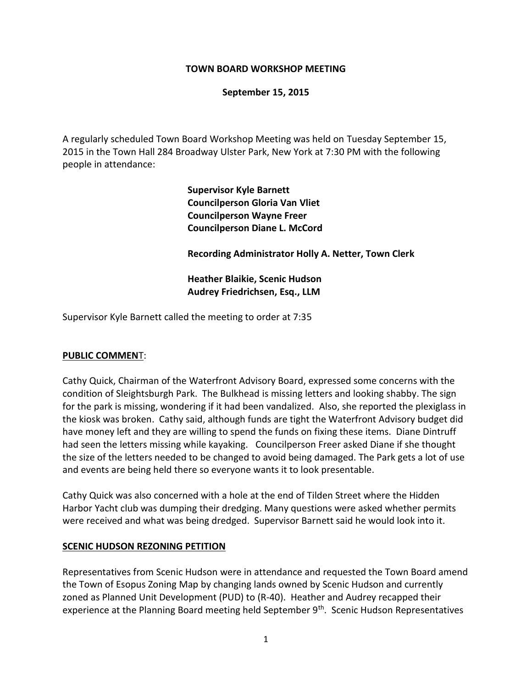#### **TOWN BOARD WORKSHOP MEETING**

#### **September 15, 2015**

A regularly scheduled Town Board Workshop Meeting was held on Tuesday September 15, 2015 in the Town Hall 284 Broadway Ulster Park, New York at 7:30 PM with the following people in attendance:

> **Supervisor Kyle Barnett Councilperson Gloria Van Vliet Councilperson Wayne Freer Councilperson Diane L. McCord**

**Recording Administrator Holly A. Netter, Town Clerk**

**Heather Blaikie, Scenic Hudson Audrey Friedrichsen, Esq., LLM** 

Supervisor Kyle Barnett called the meeting to order at 7:35

#### **PUBLIC COMMEN**T:

Cathy Quick, Chairman of the Waterfront Advisory Board, expressed some concerns with the condition of Sleightsburgh Park. The Bulkhead is missing letters and looking shabby. The sign for the park is missing, wondering if it had been vandalized. Also, she reported the plexiglass in the kiosk was broken. Cathy said, although funds are tight the Waterfront Advisory budget did have money left and they are willing to spend the funds on fixing these items. Diane Dintruff had seen the letters missing while kayaking. Councilperson Freer asked Diane if she thought the size of the letters needed to be changed to avoid being damaged. The Park gets a lot of use and events are being held there so everyone wants it to look presentable.

Cathy Quick was also concerned with a hole at the end of Tilden Street where the Hidden Harbor Yacht club was dumping their dredging. Many questions were asked whether permits were received and what was being dredged. Supervisor Barnett said he would look into it.

#### **SCENIC HUDSON REZONING PETITION**

Representatives from Scenic Hudson were in attendance and requested the Town Board amend the Town of Esopus Zoning Map by changing lands owned by Scenic Hudson and currently zoned as Planned Unit Development (PUD) to (R-40). Heather and Audrey recapped their experience at the Planning Board meeting held September 9<sup>th</sup>. Scenic Hudson Representatives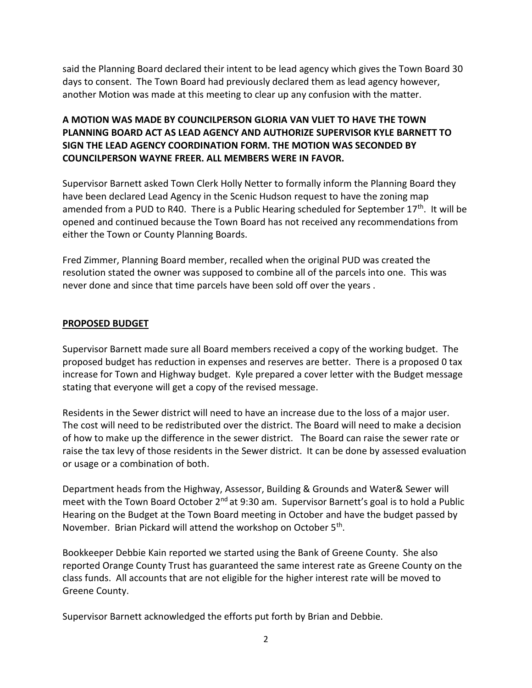said the Planning Board declared their intent to be lead agency which gives the Town Board 30 days to consent. The Town Board had previously declared them as lead agency however, another Motion was made at this meeting to clear up any confusion with the matter.

# **A MOTION WAS MADE BY COUNCILPERSON GLORIA VAN VLIET TO HAVE THE TOWN PLANNING BOARD ACT AS LEAD AGENCY AND AUTHORIZE SUPERVISOR KYLE BARNETT TO SIGN THE LEAD AGENCY COORDINATION FORM. THE MOTION WAS SECONDED BY COUNCILPERSON WAYNE FREER. ALL MEMBERS WERE IN FAVOR.**

Supervisor Barnett asked Town Clerk Holly Netter to formally inform the Planning Board they have been declared Lead Agency in the Scenic Hudson request to have the zoning map amended from a PUD to R40. There is a Public Hearing scheduled for September 17<sup>th</sup>. It will be opened and continued because the Town Board has not received any recommendations from either the Town or County Planning Boards.

Fred Zimmer, Planning Board member, recalled when the original PUD was created the resolution stated the owner was supposed to combine all of the parcels into one. This was never done and since that time parcels have been sold off over the years .

## **PROPOSED BUDGET**

Supervisor Barnett made sure all Board members received a copy of the working budget. The proposed budget has reduction in expenses and reserves are better. There is a proposed 0 tax increase for Town and Highway budget. Kyle prepared a cover letter with the Budget message stating that everyone will get a copy of the revised message.

Residents in the Sewer district will need to have an increase due to the loss of a major user. The cost will need to be redistributed over the district. The Board will need to make a decision of how to make up the difference in the sewer district. The Board can raise the sewer rate or raise the tax levy of those residents in the Sewer district. It can be done by assessed evaluation or usage or a combination of both.

Department heads from the Highway, Assessor, Building & Grounds and Water& Sewer will meet with the Town Board October 2<sup>nd</sup> at 9:30 am. Supervisor Barnett's goal is to hold a Public Hearing on the Budget at the Town Board meeting in October and have the budget passed by November. Brian Pickard will attend the workshop on October 5<sup>th</sup>.

Bookkeeper Debbie Kain reported we started using the Bank of Greene County. She also reported Orange County Trust has guaranteed the same interest rate as Greene County on the class funds. All accounts that are not eligible for the higher interest rate will be moved to Greene County.

Supervisor Barnett acknowledged the efforts put forth by Brian and Debbie.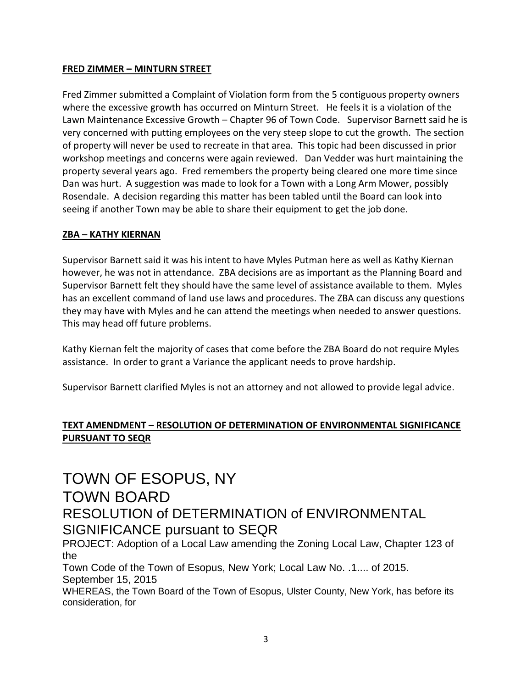## **FRED ZIMMER – MINTURN STREET**

Fred Zimmer submitted a Complaint of Violation form from the 5 contiguous property owners where the excessive growth has occurred on Minturn Street. He feels it is a violation of the Lawn Maintenance Excessive Growth – Chapter 96 of Town Code. Supervisor Barnett said he is very concerned with putting employees on the very steep slope to cut the growth. The section of property will never be used to recreate in that area. This topic had been discussed in prior workshop meetings and concerns were again reviewed. Dan Vedder was hurt maintaining the property several years ago. Fred remembers the property being cleared one more time since Dan was hurt. A suggestion was made to look for a Town with a Long Arm Mower, possibly Rosendale. A decision regarding this matter has been tabled until the Board can look into seeing if another Town may be able to share their equipment to get the job done.

## **ZBA – KATHY KIERNAN**

Supervisor Barnett said it was his intent to have Myles Putman here as well as Kathy Kiernan however, he was not in attendance. ZBA decisions are as important as the Planning Board and Supervisor Barnett felt they should have the same level of assistance available to them. Myles has an excellent command of land use laws and procedures. The ZBA can discuss any questions they may have with Myles and he can attend the meetings when needed to answer questions. This may head off future problems.

Kathy Kiernan felt the majority of cases that come before the ZBA Board do not require Myles assistance. In order to grant a Variance the applicant needs to prove hardship.

Supervisor Barnett clarified Myles is not an attorney and not allowed to provide legal advice.

# **TEXT AMENDMENT – RESOLUTION OF DETERMINATION OF ENVIRONMENTAL SIGNIFICANCE PURSUANT TO SEQR**

# TOWN OF ESOPUS, NY TOWN BOARD RESOLUTION of DETERMINATION of ENVIRONMENTAL SIGNIFICANCE pursuant to SEQR

PROJECT: Adoption of a Local Law amending the Zoning Local Law, Chapter 123 of the

Town Code of the Town of Esopus, New York; Local Law No. .1.... of 2015. September 15, 2015

WHEREAS, the Town Board of the Town of Esopus, Ulster County, New York, has before its consideration, for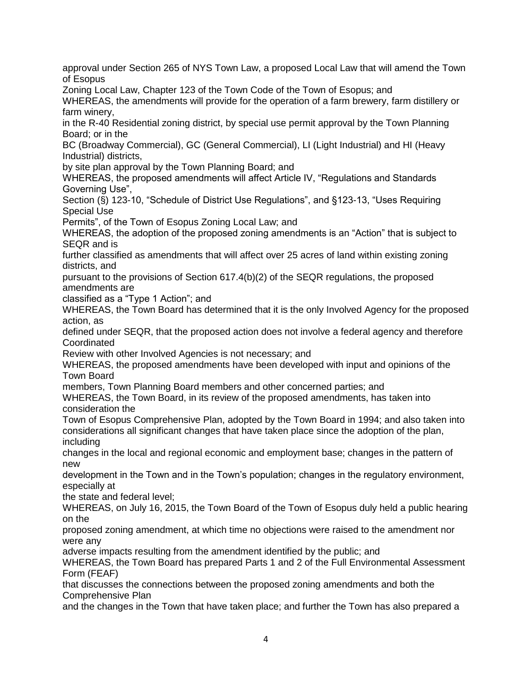approval under Section 265 of NYS Town Law, a proposed Local Law that will amend the Town of Esopus

Zoning Local Law, Chapter 123 of the Town Code of the Town of Esopus; and

WHEREAS, the amendments will provide for the operation of a farm brewery, farm distillery or farm winery,

in the R-40 Residential zoning district, by special use permit approval by the Town Planning Board; or in the

BC (Broadway Commercial), GC (General Commercial), LI (Light Industrial) and HI (Heavy Industrial) districts,

by site plan approval by the Town Planning Board; and

WHEREAS, the proposed amendments will affect Article IV, "Regulations and Standards Governing Use",

Section (§) 123-10, "Schedule of District Use Regulations", and §123-13, "Uses Requiring Special Use

Permits", of the Town of Esopus Zoning Local Law; and

WHEREAS, the adoption of the proposed zoning amendments is an "Action" that is subject to SEQR and is

further classified as amendments that will affect over 25 acres of land within existing zoning districts, and

pursuant to the provisions of Section 617.4(b)(2) of the SEQR regulations, the proposed amendments are

classified as a "Type 1 Action"; and

WHEREAS, the Town Board has determined that it is the only Involved Agency for the proposed action, as

defined under SEQR, that the proposed action does not involve a federal agency and therefore **Coordinated** 

Review with other Involved Agencies is not necessary; and

WHEREAS, the proposed amendments have been developed with input and opinions of the Town Board

members, Town Planning Board members and other concerned parties; and

WHEREAS, the Town Board, in its review of the proposed amendments, has taken into consideration the

Town of Esopus Comprehensive Plan, adopted by the Town Board in 1994; and also taken into considerations all significant changes that have taken place since the adoption of the plan, including

changes in the local and regional economic and employment base; changes in the pattern of new

development in the Town and in the Town's population; changes in the regulatory environment, especially at

the state and federal level;

WHEREAS, on July 16, 2015, the Town Board of the Town of Esopus duly held a public hearing on the

proposed zoning amendment, at which time no objections were raised to the amendment nor were any

adverse impacts resulting from the amendment identified by the public; and

WHEREAS, the Town Board has prepared Parts 1 and 2 of the Full Environmental Assessment Form (FEAF)

that discusses the connections between the proposed zoning amendments and both the Comprehensive Plan

and the changes in the Town that have taken place; and further the Town has also prepared a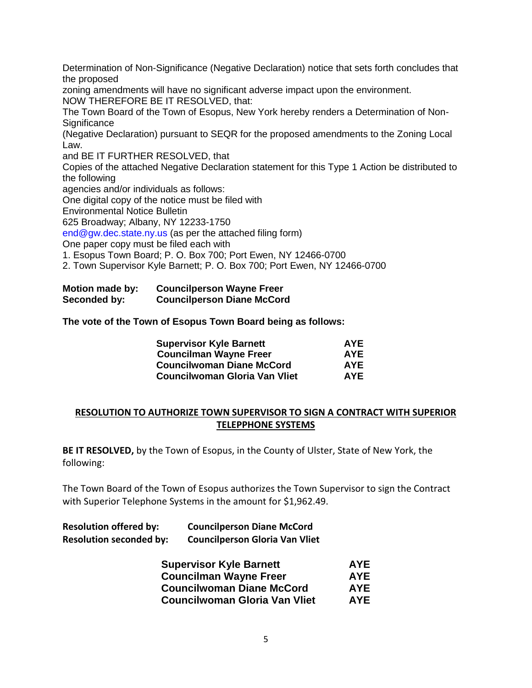Determination of Non-Significance (Negative Declaration) notice that sets forth concludes that the proposed

zoning amendments will have no significant adverse impact upon the environment. NOW THEREFORE BE IT RESOLVED, that:

The Town Board of the Town of Esopus, New York hereby renders a Determination of Non-**Significance** 

(Negative Declaration) pursuant to SEQR for the proposed amendments to the Zoning Local Law.

and BE IT FURTHER RESOLVED, that

Copies of the attached Negative Declaration statement for this Type 1 Action be distributed to the following

agencies and/or individuals as follows:

One digital copy of the notice must be filed with

Environmental Notice Bulletin

625 Broadway; Albany, NY 12233-1750

end@gw.dec.state.ny.us (as per the attached filing form)

One paper copy must be filed each with

1. Esopus Town Board; P. O. Box 700; Port Ewen, NY 12466-0700

2. Town Supervisor Kyle Barnett; P. O. Box 700; Port Ewen, NY 12466-0700

| Motion made by: | <b>Councilperson Wayne Freer</b>  |
|-----------------|-----------------------------------|
| Seconded by:    | <b>Councilperson Diane McCord</b> |

**The vote of the Town of Esopus Town Board being as follows:**

| <b>Supervisor Kyle Barnett</b>       | <b>AYE</b> |
|--------------------------------------|------------|
| <b>Councilman Wayne Freer</b>        | <b>AYE</b> |
| <b>Councilwoman Diane McCord</b>     | <b>AYE</b> |
| <b>Councilwoman Gloria Van Vliet</b> | <b>AYE</b> |

## **RESOLUTION TO AUTHORIZE TOWN SUPERVISOR TO SIGN A CONTRACT WITH SUPERIOR TELEPPHONE SYSTEMS**

**BE IT RESOLVED,** by the Town of Esopus, in the County of Ulster, State of New York, the following:

The Town Board of the Town of Esopus authorizes the Town Supervisor to sign the Contract with Superior Telephone Systems in the amount for \$1,962.49.

# **Resolution offered by: Councilperson Diane McCord Resolution seconded by: Councilperson Gloria Van Vliet**

| <b>Supervisor Kyle Barnett</b>       | <b>AYE</b> |
|--------------------------------------|------------|
| <b>Councilman Wayne Freer</b>        | <b>AYE</b> |
| <b>Councilwoman Diane McCord</b>     | <b>AYE</b> |
| <b>Councilwoman Gloria Van Vliet</b> | <b>AYE</b> |